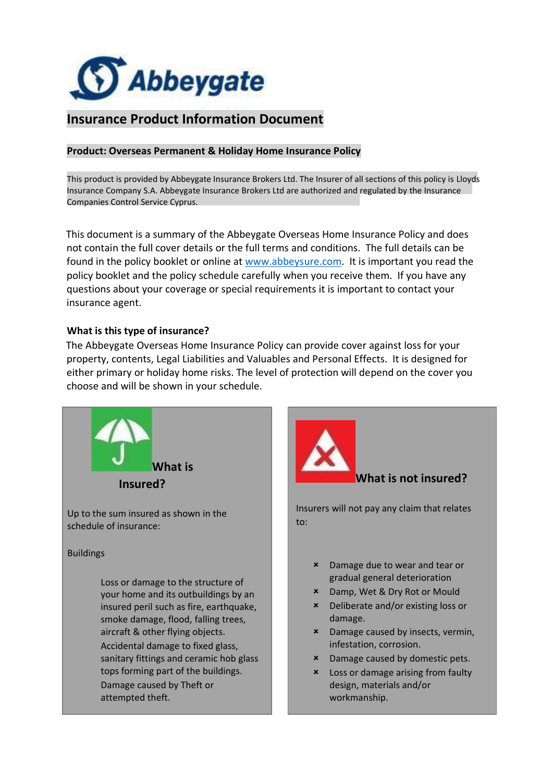

# **Insurance Product Information Document**

### **Product: Overseas Permanent & Holiday Home Insurance Policy**

This product is provided by Abbeygate Insurance Brokers Ltd. The Insurer of all sections of this policy is Lloyds Insurance Company S.A. Abbeygate Insurance Brokers Ltd are authorized and regulated by the Insurance Companies Control Service Cyprus.

This document is a summary of the Abbeygate Overseas Home Insurance Policy and does not contain the full cover details or the full terms and conditions. The full details can be found in the policy booklet or online at [www.abbeysure.com](http://www.abbeysure.com/)[.](http://www.abbeygateinsure.com/) It is important you read the policy booklet and the policy schedule carefully when you receive them. If you have any questions about your coverage or special requirements it is important to contact your insurance agent.

#### **What is this type of insurance?**

The Abbeygate Overseas Home Insurance Policy can provide cover against loss for your property, contents, Legal Liabilities and Valuables and Personal Effects. It is designed for either primary or holiday home risks. The level of protection will depend on the cover you choose and will be shown in your schedule.

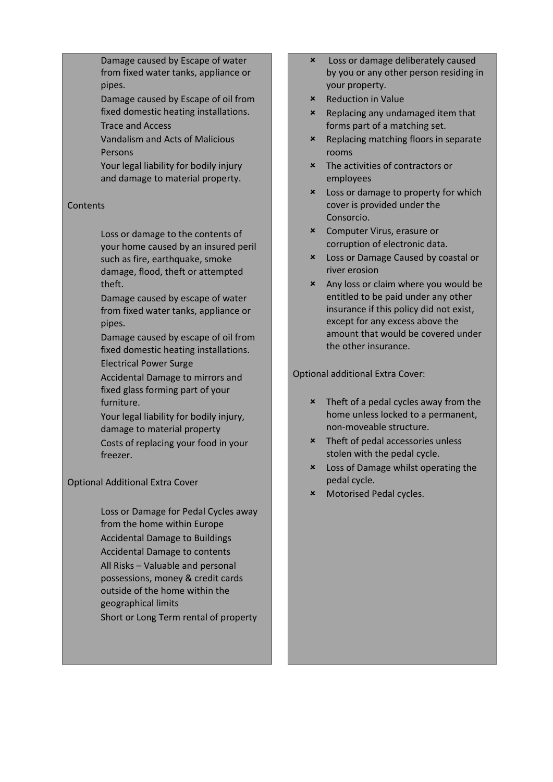Damage caused by Escape of water from fixed water tanks, appliance or pipes.

Damage caused by Escape of oil from fixed domestic heating installations. Trace and Access

Vandalism and Acts of Malicious Persons

Your legal liability for bodily injury and damage to material property.

#### **Contents**

Loss or damage to the contents of your home caused by an insured peril such as fire, earthquake, smoke damage, flood, theft or attempted theft.

Damage caused by escape of water from fixed water tanks, appliance or pipes.

Damage caused by escape of oil from fixed domestic heating installations.

Electrical Power Surge

Accidental Damage to mirrors and fixed glass forming part of your furniture.

Your legal liability for bodily injury, damage to material property Costs of replacing your food in your freezer.

#### Optional Additional Extra Cover

Loss or Damage for Pedal Cycles away from the home within Europe Accidental Damage to Buildings Accidental Damage to contents All Risks – Valuable and personal possessions, money & credit cards outside of the home within the geographical limits Short or Long Term rental of property

- Loss or damage deliberately caused by you or any other person residing in your property.
- Reduction in Value
- $\boldsymbol{\ast}$  Replacing any undamaged item that forms part of a matching set.
- **\*** Replacing matching floors in separate rooms
- **\*** The activities of contractors or employees
- **\*** Loss or damage to property for which cover is provided under the Consorcio.
- Computer Virus, erasure or corruption of electronic data.
- Loss or Damage Caused by coastal or river erosion
- **\*** Any loss or claim where you would be entitled to be paid under any other insurance if this policy did not exist, except for any excess above the amount that would be covered under the other insurance.

Optional additional Extra Cover:

- $\vert x \vert$  Theft of a pedal cycles away from the home unless locked to a permanent, non-moveable structure.
- Theft of pedal accessories unless stolen with the pedal cycle.
- Loss of Damage whilst operating the pedal cycle.
- Motorised Pedal cycles.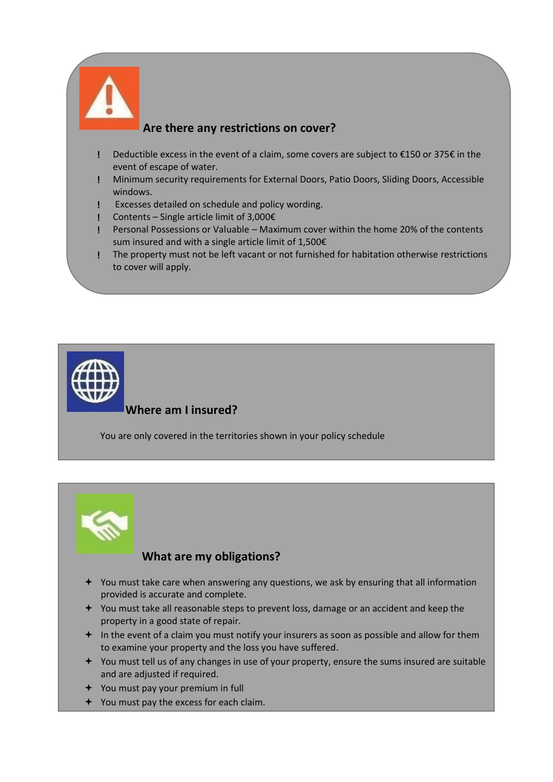

### **Are there any restrictions on cover?**

- $\mathbf{I}$ Deductible excess in the event of a claim, some covers are subject to €150 or 375€ in the event of escape of water.
- Minimum security requirements for External Doors, Patio Doors, Sliding Doors, Accessible windows.
- Excesses detailed on schedule and policy wording.
- Contents Single article limit of 3,000€
- Personal Possessions or Valuable Maximum cover within the home 20% of the contents sum insured and with a single article limit of 1,500€
- The property must not be left vacant or not furnished for habitation otherwise restrictions to cover will apply.



### **Where am I insured?**

You are only covered in the territories shown in your policy schedule



### **What are my obligations?**

- You must take care when answering any questions, we ask by ensuring that all information provided is accurate and complete.
- You must take all reasonable steps to prevent loss, damage or an accident and keep the property in a good state of repair.
- $\div$  In the event of a claim you must notify your insurers as soon as possible and allow for them to examine your property and the loss you have suffered.
- $\div$  You must tell us of any changes in use of your property, ensure the sums insured are suitable and are adjusted if required.
- You must pay your premium in full
- You must pay the excess for each claim.